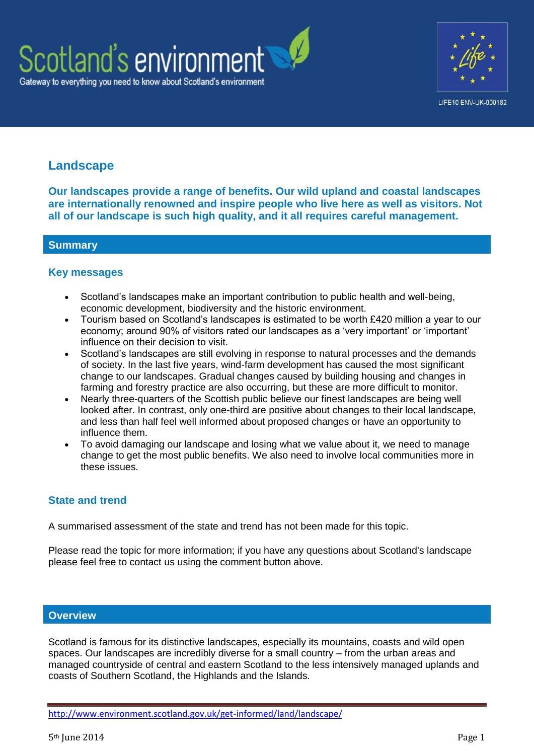



# **Landscape**

**Our landscapes provide a range of benefits. Our wild upland and coastal landscapes are internationally renowned and inspire people who live here as well as visitors. Not all of our landscape is such high quality, and it all requires careful management.**

## **Summary**

#### **Key messages**

- Scotland's landscapes make an important contribution to public health and well-being, economic development, biodiversity and the historic environment.
- Tourism based on Scotland's landscapes is estimated to be worth £420 million a year to our economy; around 90% of visitors rated our landscapes as a 'very important' or 'important' influence on their decision to visit.
- Scotland's landscapes are still evolving in response to natural processes and the demands of society. In the last five years, wind-farm development has caused the most significant change to our landscapes. Gradual changes caused by building housing and changes in farming and forestry practice are also occurring, but these are more difficult to monitor.
- Nearly three-quarters of the Scottish public believe our finest landscapes are being well looked after. In contrast, only one-third are positive about changes to their local landscape, and less than half feel well informed about proposed changes or have an opportunity to influence them.
- To avoid damaging our landscape and losing what we value about it, we need to manage change to get the most public benefits. We also need to involve local communities more in these issues.

## **State and trend**

A summarised assessment of the state and trend has not been made for this topic.

Please read the topic for more information; if you have any questions about Scotland's landscape please feel free to contact us using the comment button above.

## **Overview**

Scotland is famous for its distinctive landscapes, especially its mountains, coasts and wild open spaces. Our landscapes are incredibly diverse for a small country – from the urban areas and managed countryside of central and eastern Scotland to the less intensively managed uplands and coasts of Southern Scotland, the Highlands and the Islands.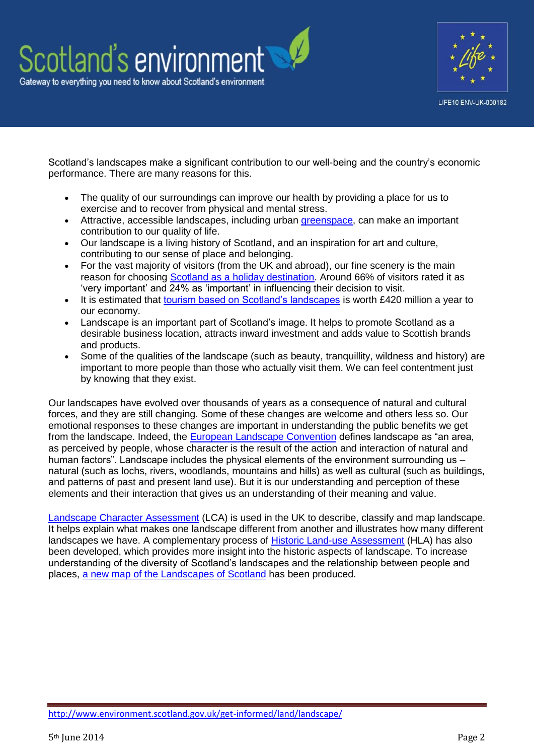

Scotland's landscapes make a significant contribution to our well-being and the country's economic performance. There are many reasons for this.

- The quality of our surroundings can improve our health by providing a place for us to exercise and to recover from physical and mental stress.
- Attractive, accessible landscapes, including urban [greenspace,](http://www.snh.gov.uk/about-scotlands-nature/habitats-and-ecosystems/greenspaces-and-gardens) can make an important contribution to our quality of life.
- Our landscape is a living history of Scotland, and an inspiration for art and culture, contributing to our sense of place and belonging.
- For the vast majority of visitors (from the UK and abroad), our fine scenery is the main reason for choosing [Scotland as a holiday destination.](http://www.snh.gov.uk/docs/B726802.pdf) Around 66% of visitors rated it as 'very important' and 24% as 'important' in influencing their decision to visit.
- It is estimated that [tourism based on Scotland's landscapes](http://www.snh.gov.uk/docs/B720765.pdf) is worth £420 million a year to our economy.
- Landscape is an important part of Scotland's image. It helps to promote Scotland as a desirable business location, attracts inward investment and adds value to Scottish brands and products.
- Some of the qualities of the landscape (such as beauty, tranquillity, wildness and history) are important to more people than those who actually visit them. We can feel contentment just by knowing that they exist.

Our landscapes have evolved over thousands of years as a consequence of natural and cultural forces, and they are still changing. Some of these changes are welcome and others less so. Our emotional responses to these changes are important in understanding the public benefits we get from the landscape. Indeed, the [European Landscape Convention](http://www.scotland.gov.uk/Topics/Environment/Countryside/Heritage/Convention) defines landscape as "an area, as perceived by people, whose character is the result of the action and interaction of natural and human factors". Landscape includes the physical elements of the environment surrounding us – natural (such as lochs, rivers, woodlands, mountains and hills) as well as cultural (such as buildings, and patterns of past and present land use). But it is our understanding and perception of these elements and their interaction that gives us an understanding of their meaning and value.

[Landscape Character Assessment](http://www.snh.gov.uk/protecting-scotlands-nature/looking-after-landscapes/lca/) (LCA) is used in the UK to describe, classify and map landscape. It helps explain what makes one landscape different from another and illustrates how many different landscapes we have. A complementary process of [Historic Land-use Assessment](http://hla.rcahms.gov.uk/) (HLA) has also been developed, which provides more insight into the historic aspects of landscape. To increase understanding of the diversity of Scotland's landscapes and the relationship between people and places, [a new map of the Landscapes of Scotland](http://www.snh.gov.uk/about-scotlands-nature/scotlands-landscapes/landscapes-varieties/) has been produced.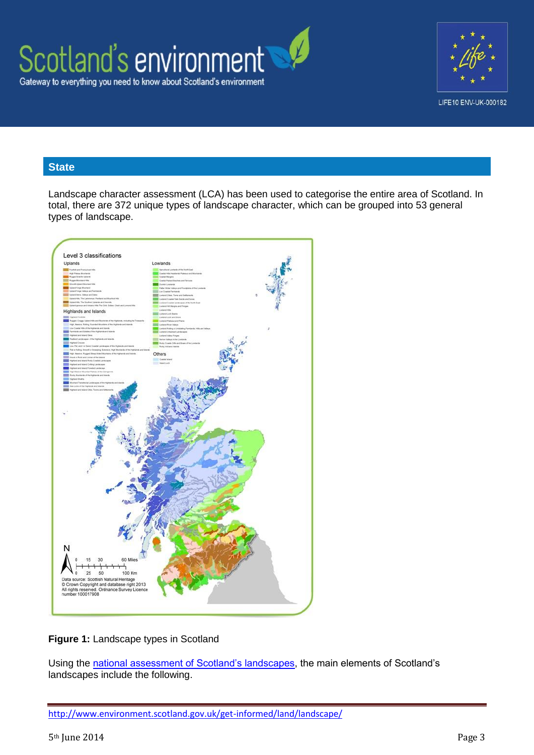



## **State**

Landscape character assessment (LCA) has been used to categorise the entire area of Scotland. In total, there are 372 unique types of landscape character, which can be grouped into 53 general types of landscape.



## **Figure 1:** Landscape types in Scotland

Using the [national assessment of Scotland's landscapes,](http://www.snh.gov.uk/docs/B464892.pdf) the main elements of Scotland's landscapes include the following.

<http://www.environment.scotland.gov.uk/get-informed/land/landscape/>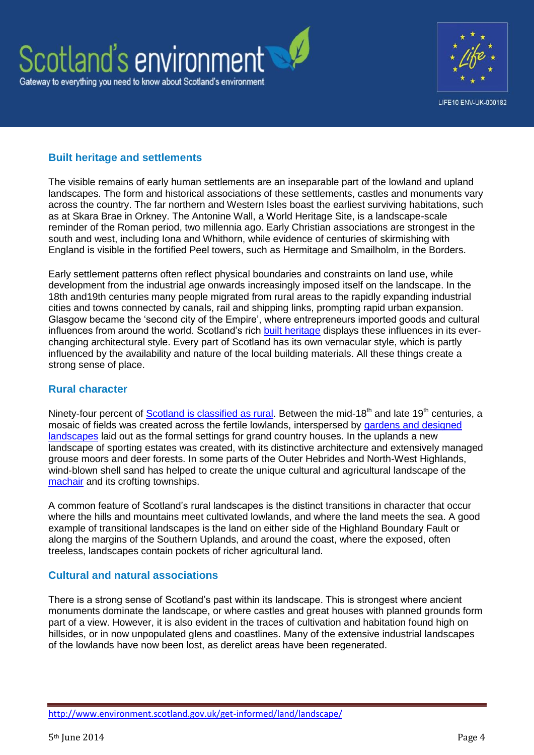



## **Built heritage and settlements**

The visible remains of early human settlements are an inseparable part of the lowland and upland landscapes. The form and historical associations of these settlements, castles and monuments vary across the country. The far northern and Western Isles boast the earliest surviving habitations, such as at Skara Brae in Orkney. The Antonine Wall, a World Heritage Site, is a landscape-scale reminder of the Roman period, two millennia ago. Early Christian associations are strongest in the south and west, including Iona and Whithorn, while evidence of centuries of skirmishing with England is visible in the fortified Peel towers, such as Hermitage and Smailholm, in the Borders.

Early settlement patterns often reflect physical boundaries and constraints on land use, while development from the industrial age onwards increasingly imposed itself on the landscape. In the 18th and19th centuries many people migrated from rural areas to the rapidly expanding industrial cities and towns connected by canals, rail and shipping links, prompting rapid urban expansion. Glasgow became the 'second city of the Empire', where entrepreneurs imported goods and cultural influences from around the world. Scotland's rich [built heritage](http://www.environment.scotland.gov.uk/get-informed/people-and-the-environment/historic-environment/) displays these influences in its everchanging architectural style. Every part of Scotland has its own vernacular style, which is partly influenced by the availability and nature of the local building materials. All these things create a strong sense of place.

## **Rural character**

Ninety-four percent of [Scotland is classified as rural.](http://www.scotland.gov.uk/Topics/Statistics/About/Methodology/UrbanRuralClassification) Between the mid-18<sup>th</sup> and late 19<sup>th</sup> centuries, a mosaic of fields was created across the fertile lowlands, interspersed by [gardens and designed](http://www.historic-scotland.gov.uk/index/heritage/gardens.htm)  [landscapes](http://www.historic-scotland.gov.uk/index/heritage/gardens.htm) laid out as the formal settings for grand country houses. In the uplands a new landscape of sporting estates was created, with its distinctive architecture and extensively managed grouse moors and deer forests. In some parts of the Outer Hebrides and North-West Highlands, wind-blown shell sand has helped to create the unique cultural and agricultural landscape of the [machair](http://www.snh.org.uk/publications/on-line/livinglandscapes/machair/whatis.asp) and its crofting townships.

A common feature of Scotland's rural landscapes is the distinct transitions in character that occur where the hills and mountains meet cultivated lowlands, and where the land meets the sea. A good example of transitional landscapes is the land on either side of the Highland Boundary Fault or along the margins of the Southern Uplands, and around the coast, where the exposed, often treeless, landscapes contain pockets of richer agricultural land.

## **Cultural and natural associations**

There is a strong sense of Scotland's past within its landscape. This is strongest where ancient monuments dominate the landscape, or where castles and great houses with planned grounds form part of a view. However, it is also evident in the traces of cultivation and habitation found high on hillsides, or in now unpopulated glens and coastlines. Many of the extensive industrial landscapes of the lowlands have now been lost, as derelict areas have been regenerated.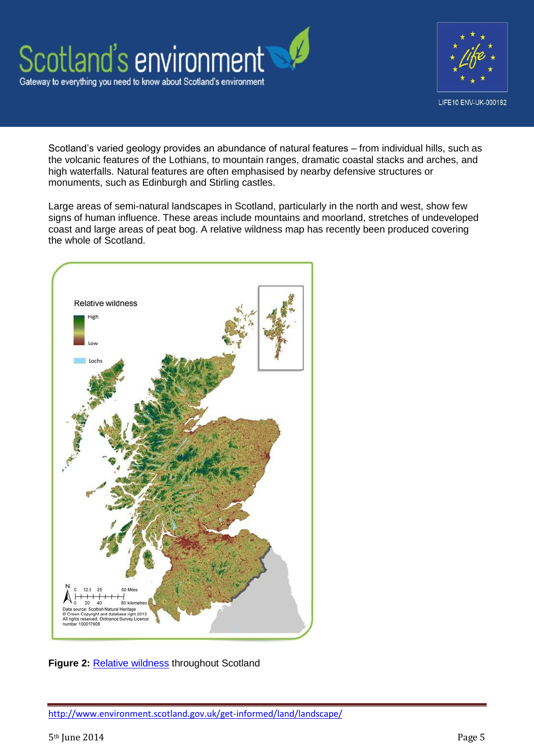

Scotland's varied geology provides an abundance of natural features – from individual hills, such as the volcanic features of the Lothians, to mountain ranges, dramatic coastal stacks and arches, and high waterfalls. Natural features are often emphasised by nearby defensive structures or monuments, such as Edinburgh and Stirling castles.

Large areas of semi-natural landscapes in Scotland, particularly in the north and west, show few signs of human influence. These areas include mountains and moorland, stretches of undeveloped coast and large areas of peat bog. A relative wildness map has recently been produced covering the whole of Scotland.





<http://www.environment.scotland.gov.uk/get-informed/land/landscape/>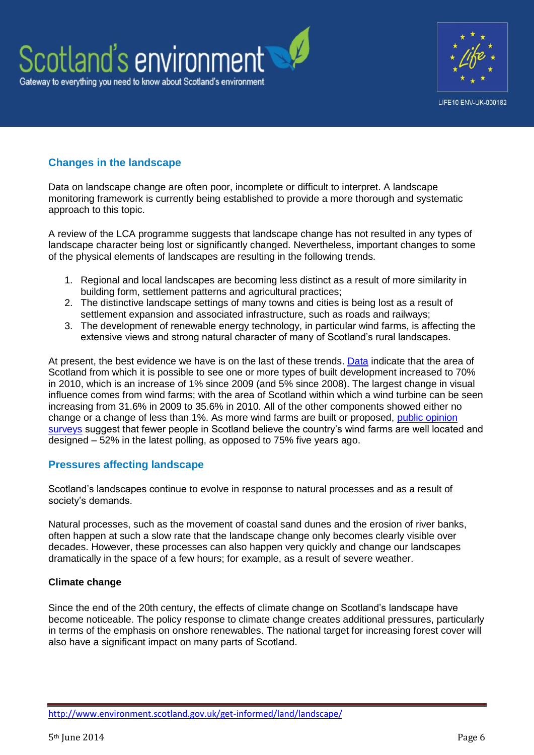



## **Changes in the landscape**

Data on landscape change are often poor, incomplete or difficult to interpret. A landscape monitoring framework is currently being established to provide a more thorough and systematic approach to this topic.

A review of the LCA programme suggests that landscape change has not resulted in any types of landscape character being lost or significantly changed. Nevertheless, important changes to some of the physical elements of landscapes are resulting in the following trends.

- 1. Regional and local landscapes are becoming less distinct as a result of more similarity in building form, settlement patterns and agricultural practices;
- 2. The distinctive landscape settings of many towns and cities is being lost as a result of settlement expansion and associated infrastructure, such as roads and railways;
- 3. The development of renewable energy technology, in particular wind farms, is affecting the extensive views and strong natural character of many of Scotland's rural landscapes.

At present, the best evidence we have is on the last of these trends. [Data](http://www.snh.gov.uk/docs/B551051.pdf) indicate that the area of Scotland from which it is possible to see one or more types of built development increased to 70% in 2010, which is an increase of 1% since 2009 (and 5% since 2008). The largest change in visual influence comes from wind farms; with the area of Scotland within which a wind turbine can be seen increasing from 31.6% in 2009 to 35.6% in 2010. All of the other components showed either no change or a change of less than 1%. As more wind farms are built or proposed, [public opinion](http://www.snh.gov.uk/publications-data-and-research/publications/search-the-catalogue/publication-detail/?id=2081)  [surveys](http://www.snh.gov.uk/publications-data-and-research/publications/search-the-catalogue/publication-detail/?id=2081) suggest that fewer people in Scotland believe the country's wind farms are well located and designed – 52% in the latest polling, as opposed to 75% five years ago.

## **Pressures affecting landscape**

Scotland's landscapes continue to evolve in response to natural processes and as a result of society's demands.

Natural processes, such as the movement of coastal sand dunes and the erosion of river banks, often happen at such a slow rate that the landscape change only becomes clearly visible over decades. However, these processes can also happen very quickly and change our landscapes dramatically in the space of a few hours; for example, as a result of severe weather.

#### **Climate change**

Since the end of the 20th century, the effects of climate change on Scotland's landscape have become noticeable. The policy response to climate change creates additional pressures, particularly in terms of the emphasis on onshore renewables. The national target for increasing forest cover will also have a significant impact on many parts of Scotland.

<http://www.environment.scotland.gov.uk/get-informed/land/landscape/>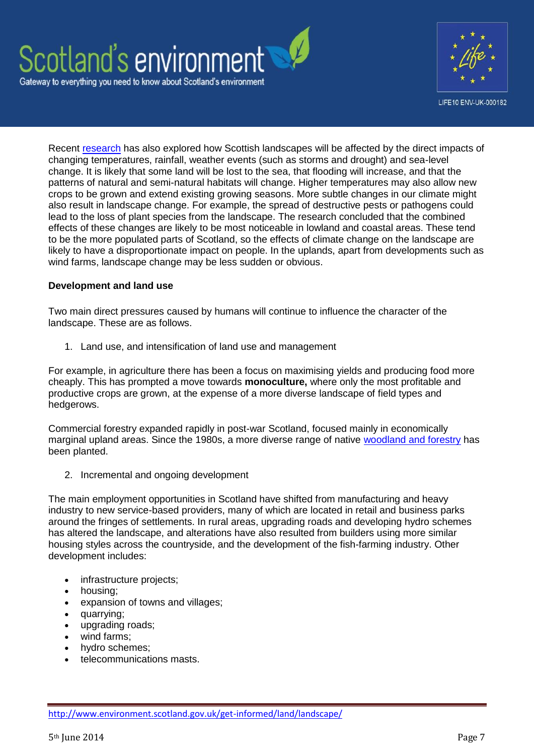



Recent [research](http://www.snh.gov.uk/protecting-scotlands-nature/looking-after-landscapes/landscape-policy-and-guidance/climate-change-landscape/) has also explored how Scottish landscapes will be affected by the direct impacts of changing temperatures, rainfall, weather events (such as storms and drought) and sea-level change. It is likely that some land will be lost to the sea, that flooding will increase, and that the patterns of natural and semi-natural habitats will change. Higher temperatures may also allow new crops to be grown and extend existing growing seasons. More subtle changes in our climate might also result in landscape change. For example, the spread of destructive pests or pathogens could lead to the loss of plant species from the landscape. The research concluded that the combined effects of these changes are likely to be most noticeable in lowland and coastal areas. These tend to be the more populated parts of Scotland, so the effects of climate change on the landscape are likely to have a disproportionate impact on people. In the uplands, apart from developments such as wind farms, landscape change may be less sudden or obvious.

#### **Development and land use**

Two main direct pressures caused by humans will continue to influence the character of the landscape. These are as follows.

1. Land use, and intensification of land use and management

For example, in agriculture there has been a focus on maximising yields and producing food more cheaply. This has prompted a move towards **monoculture,** where only the most profitable and productive crops are grown, at the expense of a more diverse landscape of field types and hedgerows.

Commercial forestry expanded rapidly in post-war Scotland, focused mainly in economically marginal upland areas. Since the 1980s, a more diverse range of native [woodland and forestry](http://www.environment.scotland.gov.uk/get-informed/land/woodlands-and-forests/) has been planted.

2. Incremental and ongoing development

The main employment opportunities in Scotland have shifted from manufacturing and heavy industry to new service-based providers, many of which are located in retail and business parks around the fringes of settlements. In rural areas, upgrading roads and developing hydro schemes has altered the landscape, and alterations have also resulted from builders using more similar housing styles across the countryside, and the development of the fish-farming industry. Other development includes:

- infrastructure projects;
- housing;
- expansion of towns and villages;
- quarrying;
- upgrading roads;
- wind farms;
- hydro schemes;
- telecommunications masts.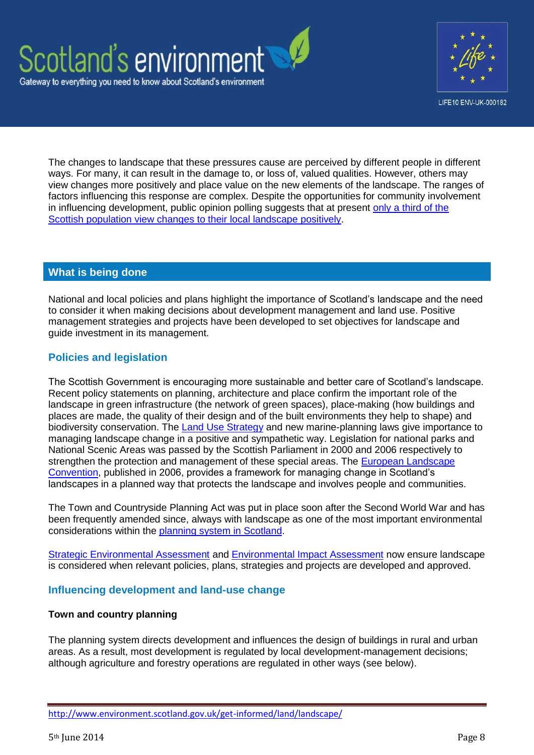



The changes to landscape that these pressures cause are perceived by different people in different ways. For many, it can result in the damage to, or loss of, valued qualities. However, others may view changes more positively and place value on the new elements of the landscape. The ranges of factors influencing this response are complex. Despite the opportunities for community involvement in influencing development, public opinion polling suggests that at present [only a third of the](http://www.snh.org.uk/pdfs/customercare/scottish%20nature%20omnibus%20march%202011.pdf)  [Scottish population view changes to their local landscape positively.](http://www.snh.org.uk/pdfs/customercare/scottish%20nature%20omnibus%20march%202011.pdf)

#### **What is being done**

National and local policies and plans highlight the importance of Scotland's landscape and the need to consider it when making decisions about development management and land use. Positive management strategies and projects have been developed to set objectives for landscape and guide investment in its management.

## **Policies and legislation**

The Scottish Government is encouraging more sustainable and better care of Scotland's landscape. Recent policy statements on planning, architecture and place confirm the important role of the landscape in green infrastructure (the network of green spaces), place-making (how buildings and places are made, the quality of their design and of the built environments they help to shape) and biodiversity conservation. The [Land Use Strategy](http://www.scotland.gov.uk/Topics/Environment/Countryside/Landusestrategy) and new marine-planning laws give importance to managing landscape change in a positive and sympathetic way. Legislation for national parks and National Scenic Areas was passed by the Scottish Parliament in 2000 and 2006 respectively to strengthen the protection and management of these special areas. The [European Landscape](http://www.snh.gov.uk/protecting-scotlands-nature/looking-after-landscapes/landscape-convention/)  [Convention,](http://www.snh.gov.uk/protecting-scotlands-nature/looking-after-landscapes/landscape-convention/) published in 2006, provides a framework for managing change in Scotland's landscapes in a planned way that protects the landscape and involves people and communities.

The Town and Countryside Planning Act was put in place soon after the Second World War and has been frequently amended since, always with landscape as one of the most important environmental considerations within the [planning system in Scotland.](http://www.scotland.gov.uk/Topics/Built-Environment/planning)

[Strategic Environmental Assessment](http://www.snh.gov.uk/planning-and-development/environmental-assessment/sea/) and [Environmental Impact Assessment](http://www.snh.gov.uk/planning-and-development/environmental-assessment/eia/) now ensure landscape is considered when relevant policies, plans, strategies and projects are developed and approved.

## **Influencing development and land-use change**

#### **Town and country planning**

The planning system directs development and influences the design of buildings in rural and urban areas. As a result, most development is regulated by local development-management decisions; although agriculture and forestry operations are regulated in other ways (see below).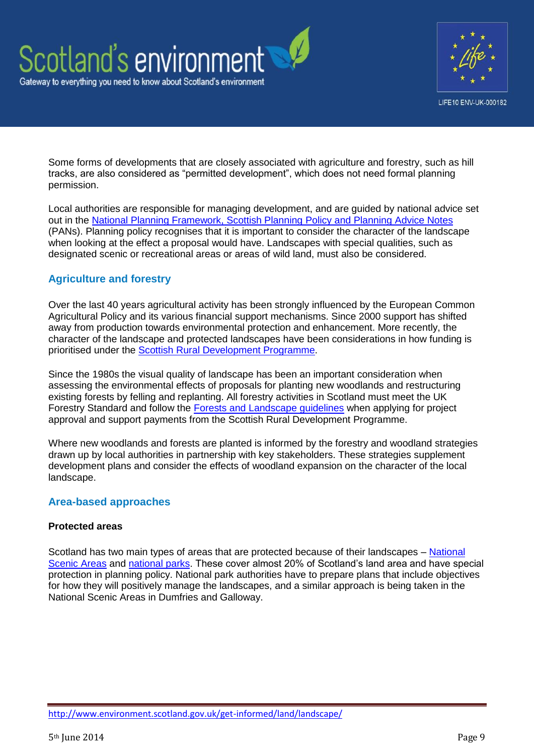



Some forms of developments that are closely associated with agriculture and forestry, such as hill tracks, are also considered as "permitted development", which does not need formal planning permission.

Local authorities are responsible for managing development, and are guided by national advice set out in the [National Planning Framework, Scottish Planning Policy and Planning Advice Notes](http://www.scotland.gov.uk/Topics/Built-Environment/planning) (PANs). Planning policy recognises that it is important to consider the character of the landscape when looking at the effect a proposal would have. Landscapes with special qualities, such as designated scenic or recreational areas or areas of wild land, must also be considered.

## **Agriculture and forestry**

Over the last 40 years agricultural activity has been strongly influenced by the European Common Agricultural Policy and its various financial support mechanisms. Since 2000 support has shifted away from production towards environmental protection and enhancement. More recently, the character of the landscape and protected landscapes have been considerations in how funding is prioritised under the [Scottish Rural Development Programme.](http://scotland.gov.uk/Topics/farmingrural/SRDP)

Since the 1980s the visual quality of landscape has been an important consideration when assessing the environmental effects of proposals for planting new woodlands and restructuring existing forests by felling and replanting. All forestry activities in Scotland must meet the UK Forestry Standard and follow the [Forests and Landscape guidelines](http://www.forestry.gov.uk/ukfs) when applying for project approval and support payments from the Scottish Rural Development Programme.

Where new woodlands and forests are planted is informed by the forestry and woodland strategies drawn up by local authorities in partnership with key stakeholders. These strategies supplement development plans and consider the effects of woodland expansion on the character of the local landscape.

## **Area-based approaches**

## **Protected areas**

Scotland has two main types of areas that are protected because of their landscapes – [National](http://www.snh.gov.uk/protecting-scotlands-nature/protected-areas/national-designations/nsa/)  [Scenic Areas](http://www.snh.gov.uk/protecting-scotlands-nature/protected-areas/national-designations/nsa/) and [national parks.](http://www.snh.gov.uk/protecting-scotlands-nature/protected-areas/national-designations/national-parks/) These cover almost 20% of Scotland's land area and have special protection in planning policy. National park authorities have to prepare plans that include objectives for how they will positively manage the landscapes, and a similar approach is being taken in the National Scenic Areas in Dumfries and Galloway.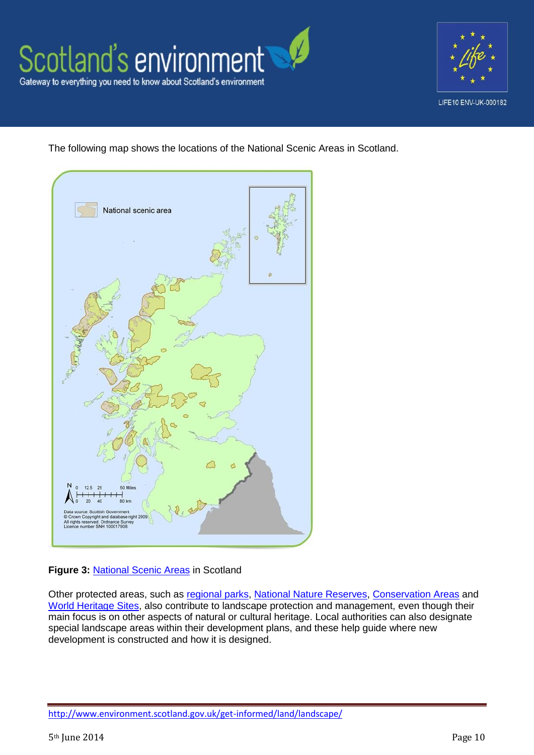



The following map shows the locations of the National Scenic Areas in Scotland.



## **Figure 3:** [National Scenic Areas](http://www.snh.gov.uk/docs/B691407.pdf) in Scotland

Other protected areas, such as [regional parks,](http://www.snh.gov.uk/protecting-scotlands-nature/protected-areas/local-designations/regional-parks/) [National Nature Reserves,](http://www.snh.gov.uk/protecting-scotlands-nature/protected-areas/national-designations/nnr/) [Conservation Areas](http://www.scotland.gov.uk/Publications/2005/03/29141519/15200) and [World Heritage Sites,](http://www.snh.gov.uk/protecting-scotlands-nature/protected-areas/international-designations/heritage-sites/) also contribute to landscape protection and management, even though their main focus is on other aspects of natural or cultural heritage. Local authorities can also designate special landscape areas within their development plans, and these help guide where new development is constructed and how it is designed.